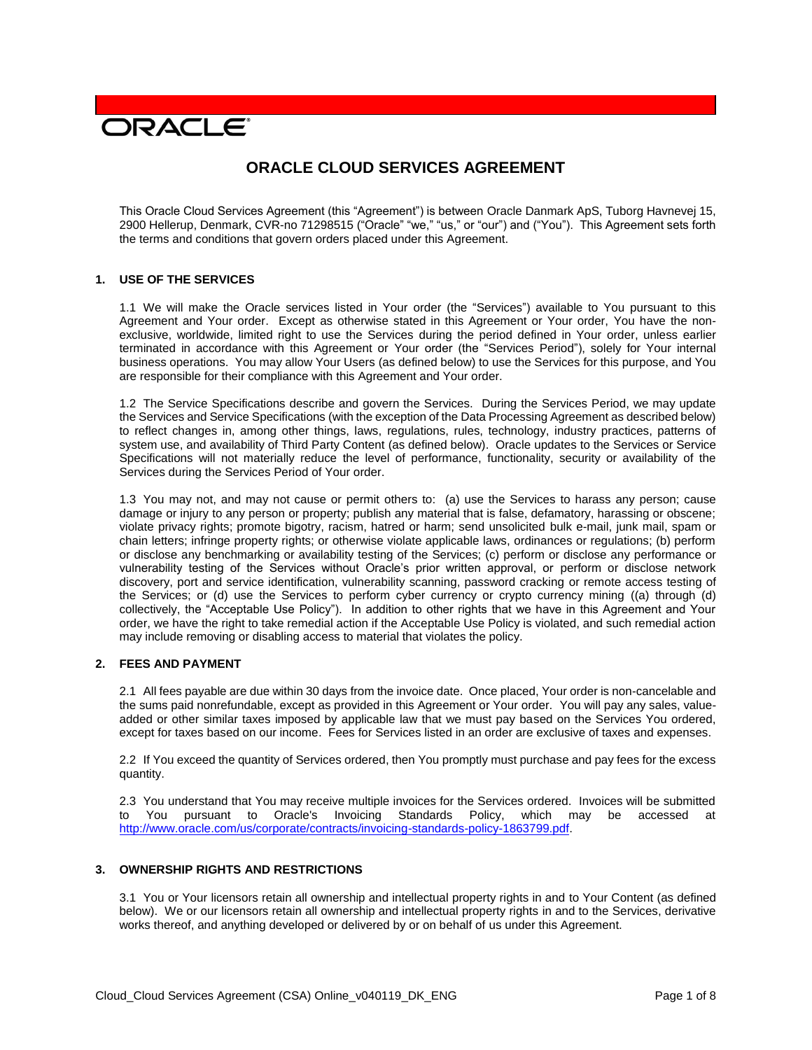# **DRACLE**

# **ORACLE CLOUD SERVICES AGREEMENT**

This Oracle Cloud Services Agreement (this "Agreement") is between Oracle Danmark ApS, Tuborg Havnevej 15, 2900 Hellerup, Denmark, CVR-no 71298515 ("Oracle" "we," "us," or "our") and ("You"). This Agreement sets forth the terms and conditions that govern orders placed under this Agreement.

#### **1. USE OF THE SERVICES**

1.1 We will make the Oracle services listed in Your order (the "Services") available to You pursuant to this Agreement and Your order. Except as otherwise stated in this Agreement or Your order, You have the nonexclusive, worldwide, limited right to use the Services during the period defined in Your order, unless earlier terminated in accordance with this Agreement or Your order (the "Services Period"), solely for Your internal business operations. You may allow Your Users (as defined below) to use the Services for this purpose, and You are responsible for their compliance with this Agreement and Your order.

1.2 The Service Specifications describe and govern the Services. During the Services Period, we may update the Services and Service Specifications (with the exception of the Data Processing Agreement as described below) to reflect changes in, among other things, laws, regulations, rules, technology, industry practices, patterns of system use, and availability of Third Party Content (as defined below). Oracle updates to the Services or Service Specifications will not materially reduce the level of performance, functionality, security or availability of the Services during the Services Period of Your order.

1.3 You may not, and may not cause or permit others to: (a) use the Services to harass any person; cause damage or injury to any person or property; publish any material that is false, defamatory, harassing or obscene; violate privacy rights; promote bigotry, racism, hatred or harm; send unsolicited bulk e-mail, junk mail, spam or chain letters; infringe property rights; or otherwise violate applicable laws, ordinances or regulations; (b) perform or disclose any benchmarking or availability testing of the Services; (c) perform or disclose any performance or vulnerability testing of the Services without Oracle's prior written approval, or perform or disclose network discovery, port and service identification, vulnerability scanning, password cracking or remote access testing of the Services; or (d) use the Services to perform cyber currency or crypto currency mining ((a) through (d) collectively, the "Acceptable Use Policy"). In addition to other rights that we have in this Agreement and Your order, we have the right to take remedial action if the Acceptable Use Policy is violated, and such remedial action may include removing or disabling access to material that violates the policy.

# **2. FEES AND PAYMENT**

2.1 All fees payable are due within 30 days from the invoice date. Once placed, Your order is non-cancelable and the sums paid nonrefundable, except as provided in this Agreement or Your order. You will pay any sales, valueadded or other similar taxes imposed by applicable law that we must pay based on the Services You ordered, except for taxes based on our income. Fees for Services listed in an order are exclusive of taxes and expenses.

2.2 If You exceed the quantity of Services ordered, then You promptly must purchase and pay fees for the excess quantity.

2.3 You understand that You may receive multiple invoices for the Services ordered. Invoices will be submitted to You pursuant to Oracle's Invoicing Standards Policy, which may be accessed at [http://www.oracle.com/us/corporate/contracts/invoicing-standards-policy-1863799.pdf.](http://www.oracle.com/us/corporate/contracts/invoicing-standards-policy-1863799.pdf)

## **3. OWNERSHIP RIGHTS AND RESTRICTIONS**

3.1 You or Your licensors retain all ownership and intellectual property rights in and to Your Content (as defined below). We or our licensors retain all ownership and intellectual property rights in and to the Services, derivative works thereof, and anything developed or delivered by or on behalf of us under this Agreement.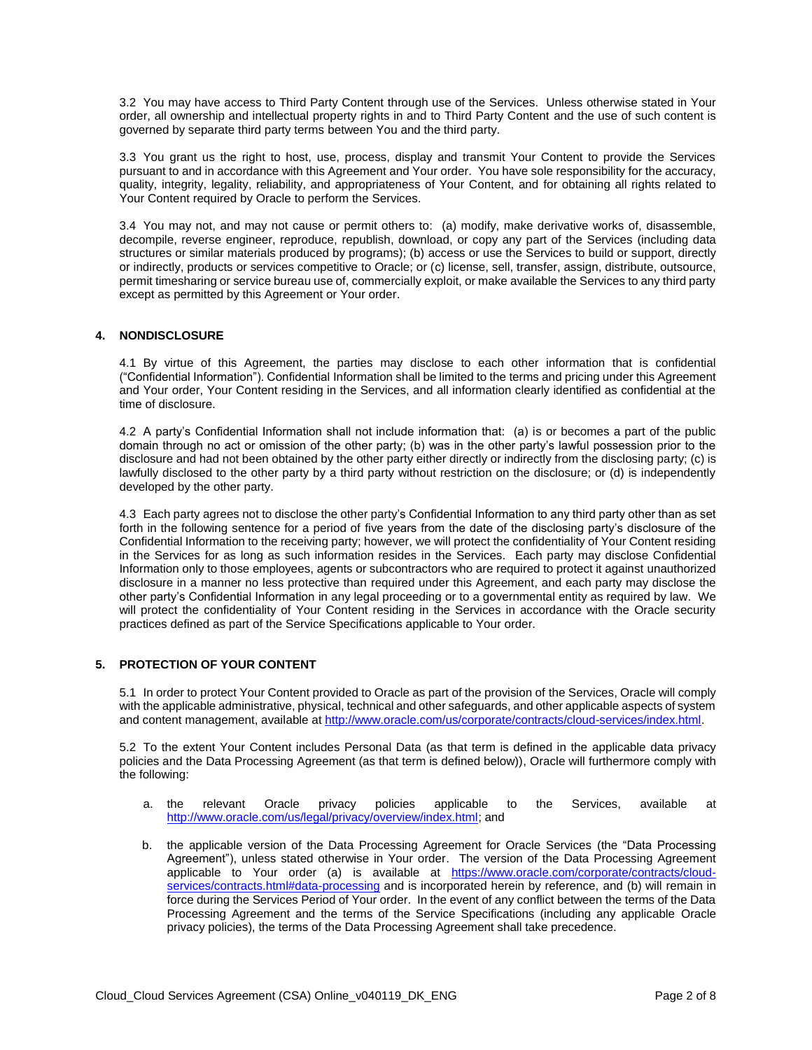3.2 You may have access to Third Party Content through use of the Services. Unless otherwise stated in Your order, all ownership and intellectual property rights in and to Third Party Content and the use of such content is governed by separate third party terms between You and the third party.

3.3 You grant us the right to host, use, process, display and transmit Your Content to provide the Services pursuant to and in accordance with this Agreement and Your order. You have sole responsibility for the accuracy, quality, integrity, legality, reliability, and appropriateness of Your Content, and for obtaining all rights related to Your Content required by Oracle to perform the Services.

3.4 You may not, and may not cause or permit others to: (a) modify, make derivative works of, disassemble, decompile, reverse engineer, reproduce, republish, download, or copy any part of the Services (including data structures or similar materials produced by programs); (b) access or use the Services to build or support, directly or indirectly, products or services competitive to Oracle; or (c) license, sell, transfer, assign, distribute, outsource, permit timesharing or service bureau use of, commercially exploit, or make available the Services to any third party except as permitted by this Agreement or Your order.

# **4. NONDISCLOSURE**

4.1 By virtue of this Agreement, the parties may disclose to each other information that is confidential ("Confidential Information"). Confidential Information shall be limited to the terms and pricing under this Agreement and Your order, Your Content residing in the Services, and all information clearly identified as confidential at the time of disclosure.

4.2 A party's Confidential Information shall not include information that: (a) is or becomes a part of the public domain through no act or omission of the other party; (b) was in the other party's lawful possession prior to the disclosure and had not been obtained by the other party either directly or indirectly from the disclosing party; (c) is lawfully disclosed to the other party by a third party without restriction on the disclosure; or (d) is independently developed by the other party.

4.3 Each party agrees not to disclose the other party's Confidential Information to any third party other than as set forth in the following sentence for a period of five years from the date of the disclosing party's disclosure of the Confidential Information to the receiving party; however, we will protect the confidentiality of Your Content residing in the Services for as long as such information resides in the Services. Each party may disclose Confidential Information only to those employees, agents or subcontractors who are required to protect it against unauthorized disclosure in a manner no less protective than required under this Agreement, and each party may disclose the other party's Confidential Information in any legal proceeding or to a governmental entity as required by law. We will protect the confidentiality of Your Content residing in the Services in accordance with the Oracle security practices defined as part of the Service Specifications applicable to Your order.

# **5. PROTECTION OF YOUR CONTENT**

5.1 In order to protect Your Content provided to Oracle as part of the provision of the Services, Oracle will comply with the applicable administrative, physical, technical and other safeguards, and other applicable aspects of system and content management, available at [http://www.oracle.com/us/corporate/contracts/cloud-services/index.html.](http://www.oracle.com/us/corporate/contracts/cloud-services/index.html)

5.2 To the extent Your Content includes Personal Data (as that term is defined in the applicable data privacy policies and the Data Processing Agreement (as that term is defined below)), Oracle will furthermore comply with the following:

- a. the relevant Oracle privacy policies applicable to the Services, available at [http://www.oracle.com/us/legal/privacy/overview/index.html;](http://www.oracle.com/us/legal/privacy/overview/index.html) and
- b. the applicable version of the Data Processing Agreement for Oracle Services (the "Data Processing Agreement"), unless stated otherwise in Your order. The version of the Data Processing Agreement applicable to Your order (a) is available at [https://www.oracle.com/corporate/contracts/cloud](https://www.oracle.com/corporate/contracts/cloud-services/contracts.html#data-processing)[services/contracts.html#data-processing](https://www.oracle.com/corporate/contracts/cloud-services/contracts.html#data-processing) and is incorporated herein by reference, and (b) will remain in force during the Services Period of Your order. In the event of any conflict between the terms of the Data Processing Agreement and the terms of the Service Specifications (including any applicable Oracle privacy policies), the terms of the Data Processing Agreement shall take precedence.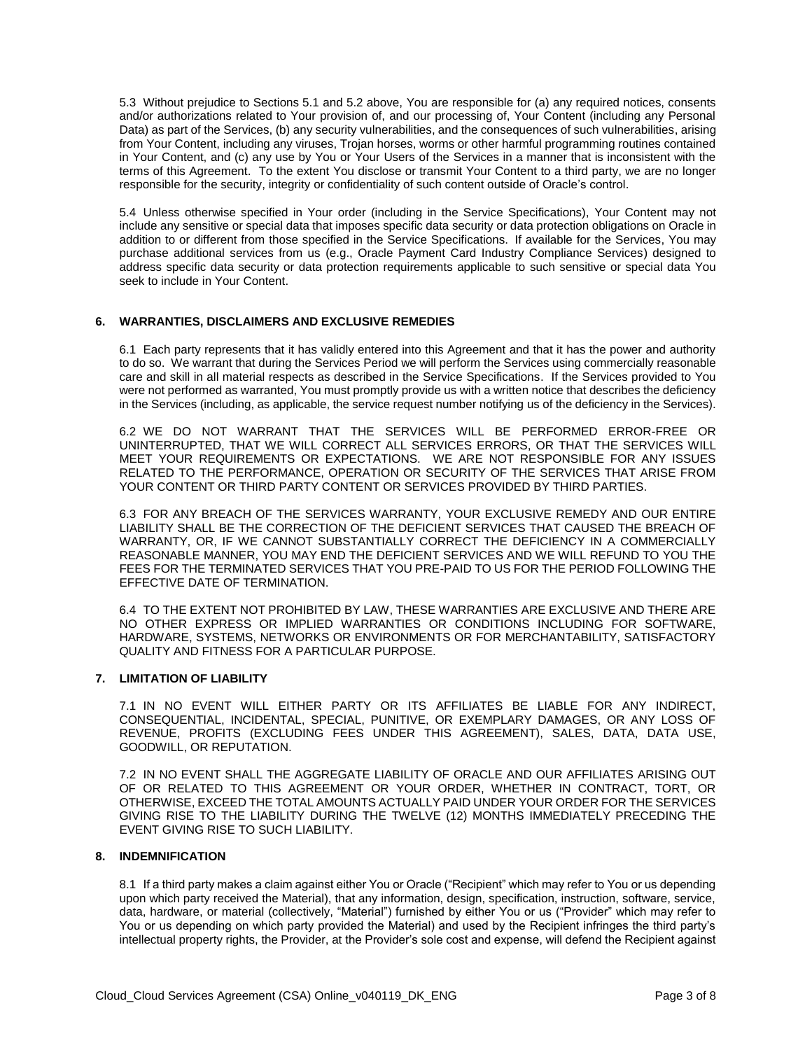5.3 Without prejudice to Sections 5.1 and 5.2 above, You are responsible for (a) any required notices, consents and/or authorizations related to Your provision of, and our processing of, Your Content (including any Personal Data) as part of the Services, (b) any security vulnerabilities, and the consequences of such vulnerabilities, arising from Your Content, including any viruses, Trojan horses, worms or other harmful programming routines contained in Your Content, and (c) any use by You or Your Users of the Services in a manner that is inconsistent with the terms of this Agreement. To the extent You disclose or transmit Your Content to a third party, we are no longer responsible for the security, integrity or confidentiality of such content outside of Oracle's control.

5.4 Unless otherwise specified in Your order (including in the Service Specifications), Your Content may not include any sensitive or special data that imposes specific data security or data protection obligations on Oracle in addition to or different from those specified in the Service Specifications. If available for the Services, You may purchase additional services from us (e.g., Oracle Payment Card Industry Compliance Services) designed to address specific data security or data protection requirements applicable to such sensitive or special data You seek to include in Your Content.

#### **6. WARRANTIES, DISCLAIMERS AND EXCLUSIVE REMEDIES**

6.1 Each party represents that it has validly entered into this Agreement and that it has the power and authority to do so. We warrant that during the Services Period we will perform the Services using commercially reasonable care and skill in all material respects as described in the Service Specifications. If the Services provided to You were not performed as warranted, You must promptly provide us with a written notice that describes the deficiency in the Services (including, as applicable, the service request number notifying us of the deficiency in the Services).

6.2 WE DO NOT WARRANT THAT THE SERVICES WILL BE PERFORMED ERROR-FREE OR UNINTERRUPTED, THAT WE WILL CORRECT ALL SERVICES ERRORS, OR THAT THE SERVICES WILL MEET YOUR REQUIREMENTS OR EXPECTATIONS. WE ARE NOT RESPONSIBLE FOR ANY ISSUES RELATED TO THE PERFORMANCE, OPERATION OR SECURITY OF THE SERVICES THAT ARISE FROM YOUR CONTENT OR THIRD PARTY CONTENT OR SERVICES PROVIDED BY THIRD PARTIES.

6.3 FOR ANY BREACH OF THE SERVICES WARRANTY, YOUR EXCLUSIVE REMEDY AND OUR ENTIRE LIABILITY SHALL BE THE CORRECTION OF THE DEFICIENT SERVICES THAT CAUSED THE BREACH OF WARRANTY, OR, IF WE CANNOT SUBSTANTIALLY CORRECT THE DEFICIENCY IN A COMMERCIALLY REASONABLE MANNER, YOU MAY END THE DEFICIENT SERVICES AND WE WILL REFUND TO YOU THE FEES FOR THE TERMINATED SERVICES THAT YOU PRE-PAID TO US FOR THE PERIOD FOLLOWING THE EFFECTIVE DATE OF TERMINATION.

6.4 TO THE EXTENT NOT PROHIBITED BY LAW, THESE WARRANTIES ARE EXCLUSIVE AND THERE ARE NO OTHER EXPRESS OR IMPLIED WARRANTIES OR CONDITIONS INCLUDING FOR SOFTWARE, HARDWARE, SYSTEMS, NETWORKS OR ENVIRONMENTS OR FOR MERCHANTABILITY, SATISFACTORY QUALITY AND FITNESS FOR A PARTICULAR PURPOSE.

#### **7. LIMITATION OF LIABILITY**

7.1 IN NO EVENT WILL EITHER PARTY OR ITS AFFILIATES BE LIABLE FOR ANY INDIRECT, CONSEQUENTIAL, INCIDENTAL, SPECIAL, PUNITIVE, OR EXEMPLARY DAMAGES, OR ANY LOSS OF REVENUE, PROFITS (EXCLUDING FEES UNDER THIS AGREEMENT), SALES, DATA, DATA USE, GOODWILL, OR REPUTATION.

7.2 IN NO EVENT SHALL THE AGGREGATE LIABILITY OF ORACLE AND OUR AFFILIATES ARISING OUT OF OR RELATED TO THIS AGREEMENT OR YOUR ORDER, WHETHER IN CONTRACT, TORT, OR OTHERWISE, EXCEED THE TOTAL AMOUNTS ACTUALLY PAID UNDER YOUR ORDER FOR THE SERVICES GIVING RISE TO THE LIABILITY DURING THE TWELVE (12) MONTHS IMMEDIATELY PRECEDING THE EVENT GIVING RISE TO SUCH LIABILITY.

#### **8. INDEMNIFICATION**

8.1 If a third party makes a claim against either You or Oracle ("Recipient" which may refer to You or us depending upon which party received the Material), that any information, design, specification, instruction, software, service, data, hardware, or material (collectively, "Material") furnished by either You or us ("Provider" which may refer to You or us depending on which party provided the Material) and used by the Recipient infringes the third party's intellectual property rights, the Provider, at the Provider's sole cost and expense, will defend the Recipient against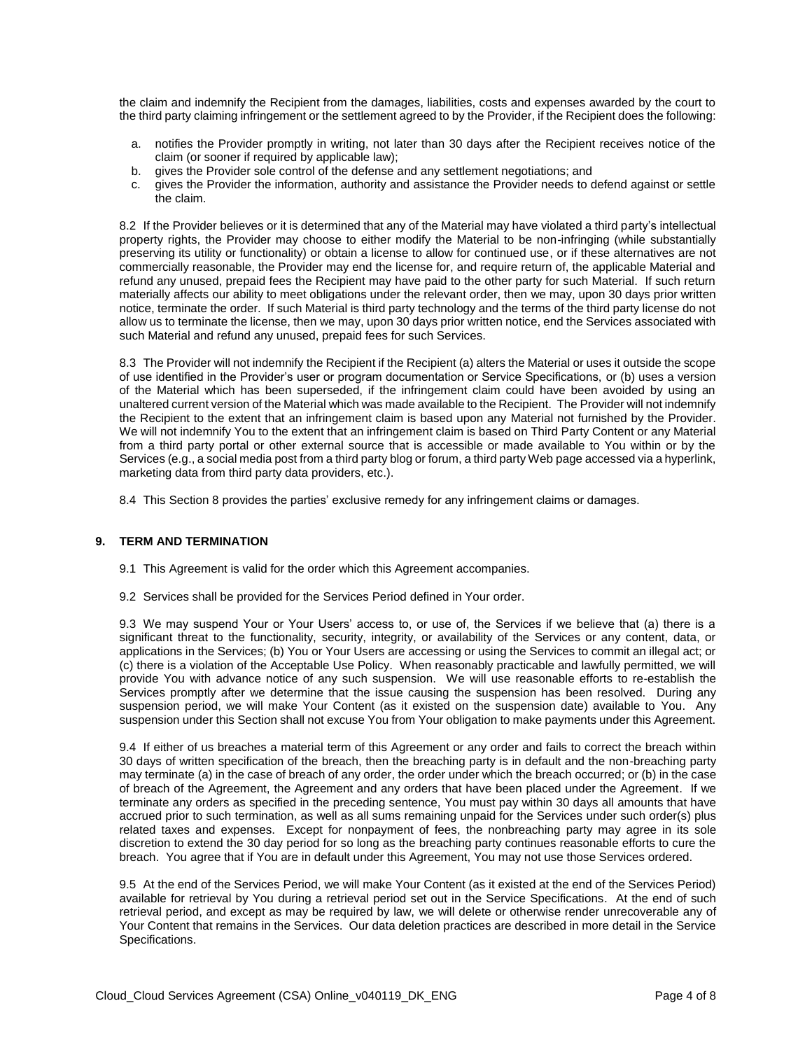the claim and indemnify the Recipient from the damages, liabilities, costs and expenses awarded by the court to the third party claiming infringement or the settlement agreed to by the Provider, if the Recipient does the following:

- a. notifies the Provider promptly in writing, not later than 30 days after the Recipient receives notice of the claim (or sooner if required by applicable law);
- b. gives the Provider sole control of the defense and any settlement negotiations; and
- c. gives the Provider the information, authority and assistance the Provider needs to defend against or settle the claim.

8.2 If the Provider believes or it is determined that any of the Material may have violated a third party's intellectual property rights, the Provider may choose to either modify the Material to be non-infringing (while substantially preserving its utility or functionality) or obtain a license to allow for continued use, or if these alternatives are not commercially reasonable, the Provider may end the license for, and require return of, the applicable Material and refund any unused, prepaid fees the Recipient may have paid to the other party for such Material. If such return materially affects our ability to meet obligations under the relevant order, then we may, upon 30 days prior written notice, terminate the order. If such Material is third party technology and the terms of the third party license do not allow us to terminate the license, then we may, upon 30 days prior written notice, end the Services associated with such Material and refund any unused, prepaid fees for such Services.

8.3 The Provider will not indemnify the Recipient if the Recipient (a) alters the Material or uses it outside the scope of use identified in the Provider's user or program documentation or Service Specifications, or (b) uses a version of the Material which has been superseded, if the infringement claim could have been avoided by using an unaltered current version of the Material which was made available to the Recipient. The Provider will not indemnify the Recipient to the extent that an infringement claim is based upon any Material not furnished by the Provider. We will not indemnify You to the extent that an infringement claim is based on Third Party Content or any Material from a third party portal or other external source that is accessible or made available to You within or by the Services (e.g., a social media post from a third party blog or forum, a third party Web page accessed via a hyperlink, marketing data from third party data providers, etc.).

8.4 This Section 8 provides the parties' exclusive remedy for any infringement claims or damages.

#### **9. TERM AND TERMINATION**

- 9.1 This Agreement is valid for the order which this Agreement accompanies.
- 9.2 Services shall be provided for the Services Period defined in Your order.

9.3 We may suspend Your or Your Users' access to, or use of, the Services if we believe that (a) there is a significant threat to the functionality, security, integrity, or availability of the Services or any content, data, or applications in the Services; (b) You or Your Users are accessing or using the Services to commit an illegal act; or (c) there is a violation of the Acceptable Use Policy. When reasonably practicable and lawfully permitted, we will provide You with advance notice of any such suspension. We will use reasonable efforts to re-establish the Services promptly after we determine that the issue causing the suspension has been resolved. During any suspension period, we will make Your Content (as it existed on the suspension date) available to You. Any suspension under this Section shall not excuse You from Your obligation to make payments under this Agreement.

9.4 If either of us breaches a material term of this Agreement or any order and fails to correct the breach within 30 days of written specification of the breach, then the breaching party is in default and the non-breaching party may terminate (a) in the case of breach of any order, the order under which the breach occurred; or (b) in the case of breach of the Agreement, the Agreement and any orders that have been placed under the Agreement. If we terminate any orders as specified in the preceding sentence, You must pay within 30 days all amounts that have accrued prior to such termination, as well as all sums remaining unpaid for the Services under such order(s) plus related taxes and expenses. Except for nonpayment of fees, the nonbreaching party may agree in its sole discretion to extend the 30 day period for so long as the breaching party continues reasonable efforts to cure the breach. You agree that if You are in default under this Agreement, You may not use those Services ordered.

9.5 At the end of the Services Period, we will make Your Content (as it existed at the end of the Services Period) available for retrieval by You during a retrieval period set out in the Service Specifications. At the end of such retrieval period, and except as may be required by law, we will delete or otherwise render unrecoverable any of Your Content that remains in the Services. Our data deletion practices are described in more detail in the Service Specifications.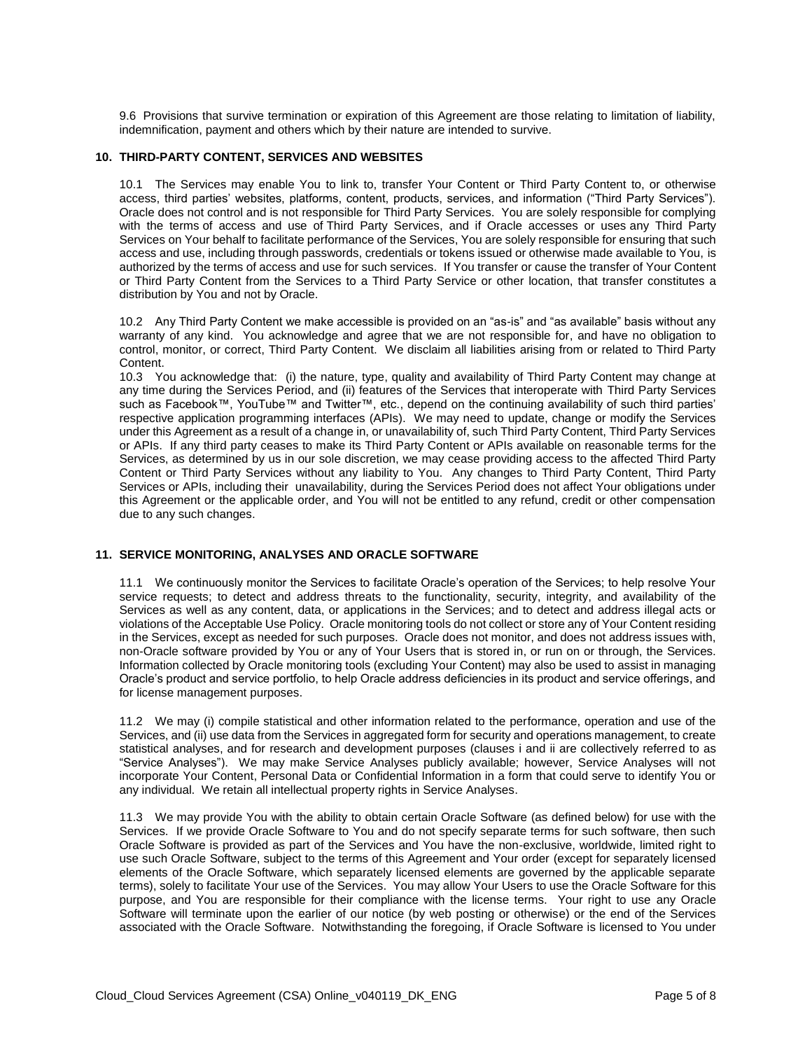9.6 Provisions that survive termination or expiration of this Agreement are those relating to limitation of liability, indemnification, payment and others which by their nature are intended to survive.

#### **10. THIRD-PARTY CONTENT, SERVICES AND WEBSITES**

10.1 The Services may enable You to link to, transfer Your Content or Third Party Content to, or otherwise access, third parties' websites, platforms, content, products, services, and information ("Third Party Services"). Oracle does not control and is not responsible for Third Party Services. You are solely responsible for complying with the terms of access and use of Third Party Services, and if Oracle accesses or uses any Third Party Services on Your behalf to facilitate performance of the Services, You are solely responsible for ensuring that such access and use, including through passwords, credentials or tokens issued or otherwise made available to You, is authorized by the terms of access and use for such services. If You transfer or cause the transfer of Your Content or Third Party Content from the Services to a Third Party Service or other location, that transfer constitutes a distribution by You and not by Oracle.

10.2 Any Third Party Content we make accessible is provided on an "as-is" and "as available" basis without any warranty of any kind. You acknowledge and agree that we are not responsible for, and have no obligation to control, monitor, or correct, Third Party Content. We disclaim all liabilities arising from or related to Third Party Content.

10.3 You acknowledge that: (i) the nature, type, quality and availability of Third Party Content may change at any time during the Services Period, and (ii) features of the Services that interoperate with Third Party Services such as Facebook™, YouTube™ and Twitter™, etc., depend on the continuing availability of such third parties' respective application programming interfaces (APIs). We may need to update, change or modify the Services under this Agreement as a result of a change in, or unavailability of, such Third Party Content, Third Party Services or APIs. If any third party ceases to make its Third Party Content or APIs available on reasonable terms for the Services, as determined by us in our sole discretion, we may cease providing access to the affected Third Party Content or Third Party Services without any liability to You. Any changes to Third Party Content, Third Party Services or APIs, including their unavailability, during the Services Period does not affect Your obligations under this Agreement or the applicable order, and You will not be entitled to any refund, credit or other compensation due to any such changes.

## **11. SERVICE MONITORING, ANALYSES AND ORACLE SOFTWARE**

11.1 We continuously monitor the Services to facilitate Oracle's operation of the Services; to help resolve Your service requests; to detect and address threats to the functionality, security, integrity, and availability of the Services as well as any content, data, or applications in the Services; and to detect and address illegal acts or violations of the Acceptable Use Policy. Oracle monitoring tools do not collect or store any of Your Content residing in the Services, except as needed for such purposes. Oracle does not monitor, and does not address issues with, non-Oracle software provided by You or any of Your Users that is stored in, or run on or through, the Services. Information collected by Oracle monitoring tools (excluding Your Content) may also be used to assist in managing Oracle's product and service portfolio, to help Oracle address deficiencies in its product and service offerings, and for license management purposes.

11.2 We may (i) compile statistical and other information related to the performance, operation and use of the Services, and (ii) use data from the Services in aggregated form for security and operations management, to create statistical analyses, and for research and development purposes (clauses i and ii are collectively referred to as "Service Analyses"). We may make Service Analyses publicly available; however, Service Analyses will not incorporate Your Content, Personal Data or Confidential Information in a form that could serve to identify You or any individual. We retain all intellectual property rights in Service Analyses.

11.3 We may provide You with the ability to obtain certain Oracle Software (as defined below) for use with the Services. If we provide Oracle Software to You and do not specify separate terms for such software, then such Oracle Software is provided as part of the Services and You have the non-exclusive, worldwide, limited right to use such Oracle Software, subject to the terms of this Agreement and Your order (except for separately licensed elements of the Oracle Software, which separately licensed elements are governed by the applicable separate terms), solely to facilitate Your use of the Services. You may allow Your Users to use the Oracle Software for this purpose, and You are responsible for their compliance with the license terms. Your right to use any Oracle Software will terminate upon the earlier of our notice (by web posting or otherwise) or the end of the Services associated with the Oracle Software. Notwithstanding the foregoing, if Oracle Software is licensed to You under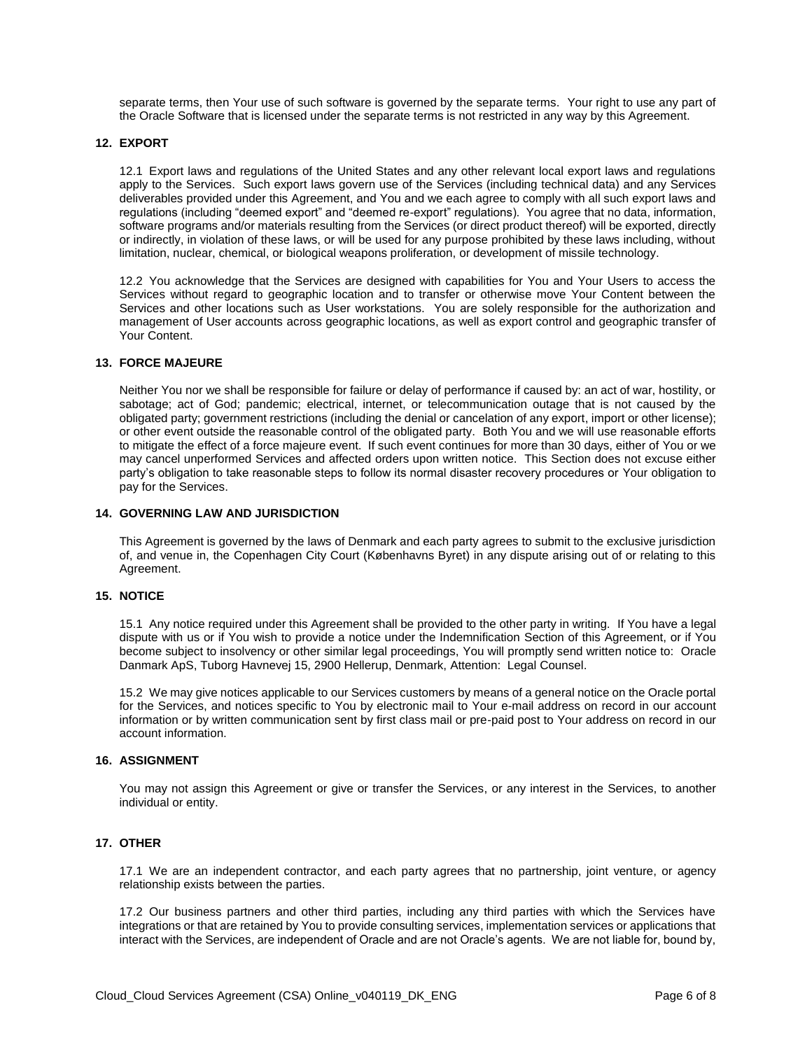separate terms, then Your use of such software is governed by the separate terms. Your right to use any part of the Oracle Software that is licensed under the separate terms is not restricted in any way by this Agreement.

#### **12. EXPORT**

12.1 Export laws and regulations of the United States and any other relevant local export laws and regulations apply to the Services. Such export laws govern use of the Services (including technical data) and any Services deliverables provided under this Agreement, and You and we each agree to comply with all such export laws and regulations (including "deemed export" and "deemed re-export" regulations). You agree that no data, information, software programs and/or materials resulting from the Services (or direct product thereof) will be exported, directly or indirectly, in violation of these laws, or will be used for any purpose prohibited by these laws including, without limitation, nuclear, chemical, or biological weapons proliferation, or development of missile technology.

12.2 You acknowledge that the Services are designed with capabilities for You and Your Users to access the Services without regard to geographic location and to transfer or otherwise move Your Content between the Services and other locations such as User workstations. You are solely responsible for the authorization and management of User accounts across geographic locations, as well as export control and geographic transfer of Your Content.

#### **13. FORCE MAJEURE**

Neither You nor we shall be responsible for failure or delay of performance if caused by: an act of war, hostility, or sabotage; act of God; pandemic; electrical, internet, or telecommunication outage that is not caused by the obligated party; government restrictions (including the denial or cancelation of any export, import or other license); or other event outside the reasonable control of the obligated party. Both You and we will use reasonable efforts to mitigate the effect of a force majeure event. If such event continues for more than 30 days, either of You or we may cancel unperformed Services and affected orders upon written notice. This Section does not excuse either party's obligation to take reasonable steps to follow its normal disaster recovery procedures or Your obligation to pay for the Services.

#### **14. GOVERNING LAW AND JURISDICTION**

This Agreement is governed by the laws of Denmark and each party agrees to submit to the exclusive jurisdiction of, and venue in, the Copenhagen City Court (Københavns Byret) in any dispute arising out of or relating to this Agreement.

#### **15. NOTICE**

15.1 Any notice required under this Agreement shall be provided to the other party in writing. If You have a legal dispute with us or if You wish to provide a notice under the Indemnification Section of this Agreement, or if You become subject to insolvency or other similar legal proceedings, You will promptly send written notice to: Oracle Danmark ApS, Tuborg Havnevej 15, 2900 Hellerup, Denmark, Attention: Legal Counsel.

15.2 We may give notices applicable to our Services customers by means of a general notice on the Oracle portal for the Services, and notices specific to You by electronic mail to Your e-mail address on record in our account information or by written communication sent by first class mail or pre-paid post to Your address on record in our account information.

#### **16. ASSIGNMENT**

You may not assign this Agreement or give or transfer the Services, or any interest in the Services, to another individual or entity.

# **17. OTHER**

17.1 We are an independent contractor, and each party agrees that no partnership, joint venture, or agency relationship exists between the parties.

17.2 Our business partners and other third parties, including any third parties with which the Services have integrations or that are retained by You to provide consulting services, implementation services or applications that interact with the Services, are independent of Oracle and are not Oracle's agents. We are not liable for, bound by,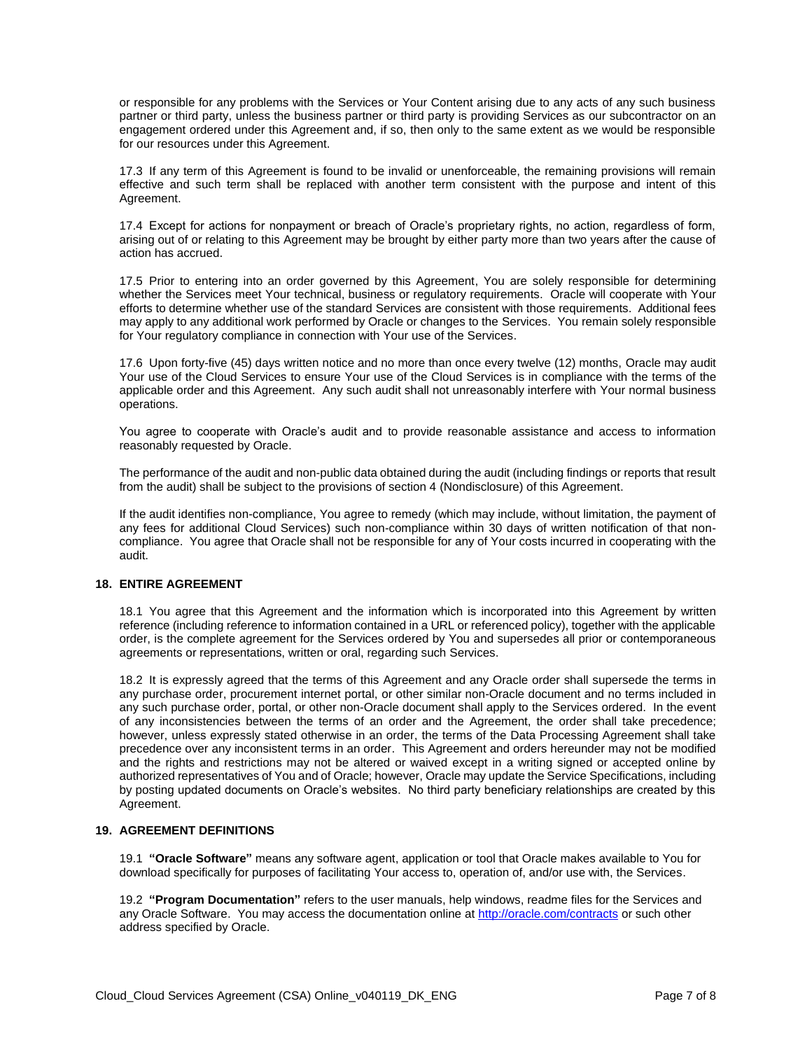or responsible for any problems with the Services or Your Content arising due to any acts of any such business partner or third party, unless the business partner or third party is providing Services as our subcontractor on an engagement ordered under this Agreement and, if so, then only to the same extent as we would be responsible for our resources under this Agreement.

17.3 If any term of this Agreement is found to be invalid or unenforceable, the remaining provisions will remain effective and such term shall be replaced with another term consistent with the purpose and intent of this Agreement.

17.4 Except for actions for nonpayment or breach of Oracle's proprietary rights, no action, regardless of form, arising out of or relating to this Agreement may be brought by either party more than two years after the cause of action has accrued.

17.5 Prior to entering into an order governed by this Agreement, You are solely responsible for determining whether the Services meet Your technical, business or regulatory requirements. Oracle will cooperate with Your efforts to determine whether use of the standard Services are consistent with those requirements. Additional fees may apply to any additional work performed by Oracle or changes to the Services. You remain solely responsible for Your regulatory compliance in connection with Your use of the Services.

17.6 Upon forty-five (45) days written notice and no more than once every twelve (12) months, Oracle may audit Your use of the Cloud Services to ensure Your use of the Cloud Services is in compliance with the terms of the applicable order and this Agreement. Any such audit shall not unreasonably interfere with Your normal business operations.

You agree to cooperate with Oracle's audit and to provide reasonable assistance and access to information reasonably requested by Oracle.

The performance of the audit and non-public data obtained during the audit (including findings or reports that result from the audit) shall be subject to the provisions of section 4 (Nondisclosure) of this Agreement.

If the audit identifies non-compliance, You agree to remedy (which may include, without limitation, the payment of any fees for additional Cloud Services) such non-compliance within 30 days of written notification of that noncompliance. You agree that Oracle shall not be responsible for any of Your costs incurred in cooperating with the audit.

# **18. ENTIRE AGREEMENT**

18.1 You agree that this Agreement and the information which is incorporated into this Agreement by written reference (including reference to information contained in a URL or referenced policy), together with the applicable order, is the complete agreement for the Services ordered by You and supersedes all prior or contemporaneous agreements or representations, written or oral, regarding such Services.

18.2 It is expressly agreed that the terms of this Agreement and any Oracle order shall supersede the terms in any purchase order, procurement internet portal, or other similar non-Oracle document and no terms included in any such purchase order, portal, or other non-Oracle document shall apply to the Services ordered. In the event of any inconsistencies between the terms of an order and the Agreement, the order shall take precedence; however, unless expressly stated otherwise in an order, the terms of the Data Processing Agreement shall take precedence over any inconsistent terms in an order. This Agreement and orders hereunder may not be modified and the rights and restrictions may not be altered or waived except in a writing signed or accepted online by authorized representatives of You and of Oracle; however, Oracle may update the Service Specifications, including by posting updated documents on Oracle's websites. No third party beneficiary relationships are created by this Agreement.

### **19. AGREEMENT DEFINITIONS**

19.1 **"Oracle Software"** means any software agent, application or tool that Oracle makes available to You for download specifically for purposes of facilitating Your access to, operation of, and/or use with, the Services.

19.2 **"Program Documentation"** refers to the user manuals, help windows, readme files for the Services and any Oracle Software. You may access the documentation online a[t http://oracle.com/contracts](http://oracle.com/contracts) or such other address specified by Oracle.